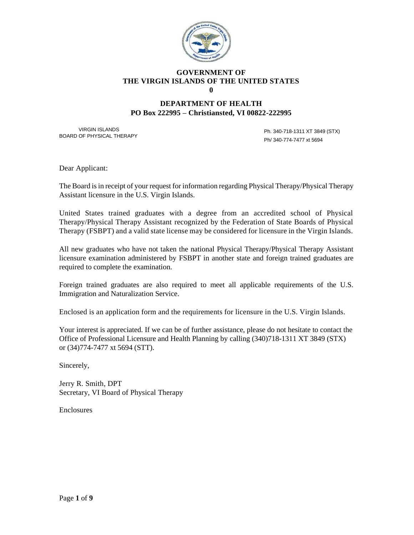

#### **GOVERNMENT OF THE VIRGIN ISLANDS OF THE UNITED STATES 0**

### **DEPARTMENT OF HEALTH PO Box 222995 – Christiansted, VI 00822-222995**

VIRGIN ISLANDS BOARD OF PHYSICAL THERAPY

Ph. 340-718-1311 XT 3849 (STX) Ph/ 340-774-7477 xt 5694

Dear Applicant:

The Board is in receipt of your request for information regarding Physical Therapy/Physical Therapy Assistant licensure in the U.S. Virgin Islands.

United States trained graduates with a degree from an accredited school of Physical Therapy/Physical Therapy Assistant recognized by the Federation of State Boards of Physical Therapy (FSBPT) and a valid state license may be considered for licensure in the Virgin Islands.

All new graduates who have not taken the national Physical Therapy/Physical Therapy Assistant licensure examination administered by FSBPT in another state and foreign trained graduates are required to complete the examination.

Foreign trained graduates are also required to meet all applicable requirements of the U.S. Immigration and Naturalization Service.

Enclosed is an application form and the requirements for licensure in the U.S. Virgin Islands.

Your interest is appreciated. If we can be of further assistance, please do not hesitate to contact the Office of Professional Licensure and Health Planning by calling (340)718-1311 XT 3849 (STX) or (34)774-7477 xt 5694 (STT).

Sincerely,

Jerry R. Smith, DPT Secretary, VI Board of Physical Therapy

Enclosures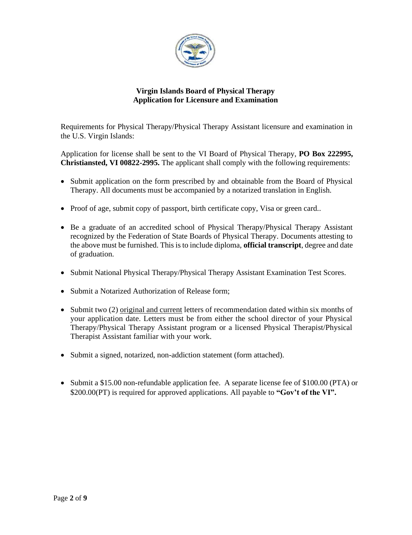

# **Virgin Islands Board of Physical Therapy Application for Licensure and Examination**

Requirements for Physical Therapy/Physical Therapy Assistant licensure and examination in the U.S. Virgin Islands:

Application for license shall be sent to the VI Board of Physical Therapy, **PO Box 222995, Christiansted, VI 00822-2995.** The applicant shall comply with the following requirements:

- Submit application on the form prescribed by and obtainable from the Board of Physical Therapy. All documents must be accompanied by a notarized translation in English.
- Proof of age, submit copy of passport, birth certificate copy, Visa or green card..
- Be a graduate of an accredited school of Physical Therapy/Physical Therapy Assistant recognized by the Federation of State Boards of Physical Therapy. Documents attesting to the above must be furnished. This is to include diploma, **official transcript**, degree and date of graduation.
- Submit National Physical Therapy/Physical Therapy Assistant Examination Test Scores.
- Submit a Notarized Authorization of Release form:
- Submit two (2) original and current letters of recommendation dated within six months of your application date. Letters must be from either the school director of your Physical Therapy/Physical Therapy Assistant program or a licensed Physical Therapist/Physical Therapist Assistant familiar with your work.
- Submit a signed, notarized, non-addiction statement (form attached).
- Submit a \$15.00 non-refundable application fee. A separate license fee of \$100.00 (PTA) or \$200.00(PT) is required for approved applications. All payable to **"Gov't of the VI".**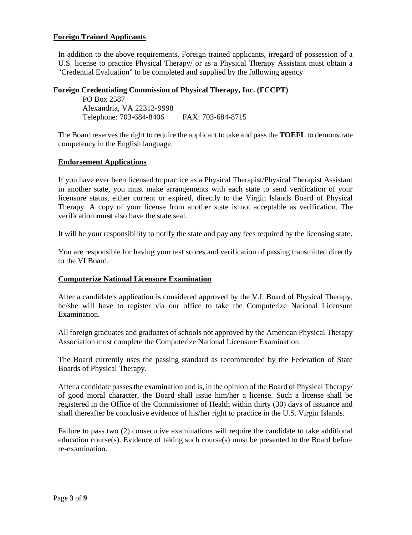### **Foreign Trained Applicants**

In addition to the above requirements, Foreign trained applicants, irregard of possession of a U.S. license to practice Physical Therapy/ or as a Physical Therapy Assistant must obtain a "Credential Evaluation" to be completed and supplied by the following agency

### **Foreign Credentialing Commission of Physical Therapy, Inc. (FCCPT)**

PO Box 2587 Alexandria, VA 22313-9998 Telephone: 703-684-8406 FAX: 703-684-8715

The Board reserves the right to require the applicant to take and pass the **TOEFL** to demonstrate competency in the English language.

#### **Endorsement Applications**

If you have ever been licensed to practice as a Physical Therapist/Physical Therapist Assistant in another state, you must make arrangements with each state to send verification of your licensure status, either current or expired, directly to the Virgin Islands Board of Physical Therapy. A copy of your license from another state is not acceptable as verification. The verification **must** also have the state seal.

It will be your responsibility to notify the state and pay any fees required by the licensing state.

You are responsible for having your test scores and verification of passing transmitted directly to the VI Board.

#### **Computerize National Licensure Examination**

After a candidate's application is considered approved by the V.I. Board of Physical Therapy, he/she will have to register via our office to take the Computerize National Licensure Examination.

All foreign graduates and graduates of schools not approved by the American Physical Therapy Association must complete the Computerize National Licensure Examination.

The Board currently uses the passing standard as recommended by the Federation of State Boards of Physical Therapy.

After a candidate passes the examination and is, in the opinion of the Board of Physical Therapy/ of good moral character, the Board shall issue him/her a license. Such a license shall be registered in the Office of the Commissioner of Health within thirty (30) days of issuance and shall thereafter be conclusive evidence of his/her right to practice in the U.S. Virgin Islands.

Failure to pass two (2) consecutive examinations will require the candidate to take additional education course(s). Evidence of taking such course(s) must be presented to the Board before re-examination.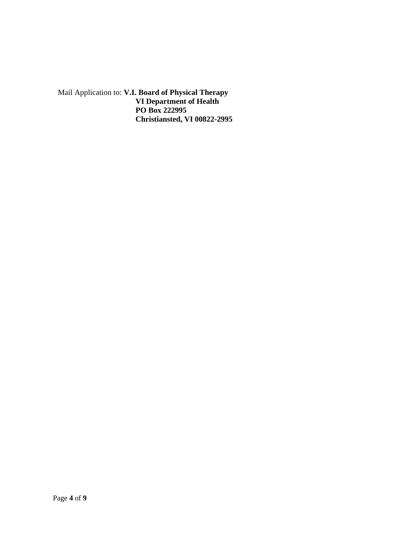Mail Application to: **V.I. Board of Physical Therapy VI Department of Health PO Box 222995 Christiansted, VI 00822-2995**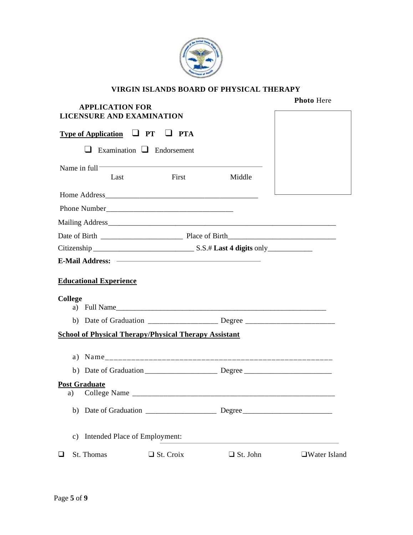

# **VIRGIN ISLANDS BOARD OF PHYSICAL THERAPY**

|                | <b>APPLICATION FOR</b>                                                           | <b>Photo Here</b> |                 |                     |
|----------------|----------------------------------------------------------------------------------|-------------------|-----------------|---------------------|
|                | <b>LICENSURE AND EXAMINATION</b>                                                 |                   |                 |                     |
|                | <b>Type of Application <math>\Box</math> PT <math>\Box</math> PTA</b>            |                   |                 |                     |
|                | $\Box$ Examination $\Box$ Endorsement                                            |                   |                 |                     |
|                | Name in $full^-$                                                                 |                   |                 |                     |
|                | Last                                                                             | First             | Middle          |                     |
|                |                                                                                  |                   |                 |                     |
|                |                                                                                  |                   |                 |                     |
|                |                                                                                  |                   |                 |                     |
|                |                                                                                  |                   |                 |                     |
|                |                                                                                  |                   |                 |                     |
|                |                                                                                  |                   |                 |                     |
|                | <b>Educational Experience</b>                                                    |                   |                 |                     |
|                |                                                                                  |                   |                 |                     |
| College        | a) Full Name                                                                     |                   |                 |                     |
|                | b) Date of Graduation ___________________ Degree _______________________________ |                   |                 |                     |
|                | <b>School of Physical Therapy/Physical Therapy Assistant</b>                     |                   |                 |                     |
|                |                                                                                  |                   |                 |                     |
|                |                                                                                  |                   |                 |                     |
|                |                                                                                  |                   |                 |                     |
| a)             | <b>Post Graduate</b>                                                             |                   |                 |                     |
|                |                                                                                  |                   |                 |                     |
| $\mathbf{c}$ ) | Intended Place of Employment:                                                    |                   |                 |                     |
| $\Box$         | St. Thomas                                                                       | $\Box$ St. Croix  | $\Box$ St. John | $\Box$ Water Island |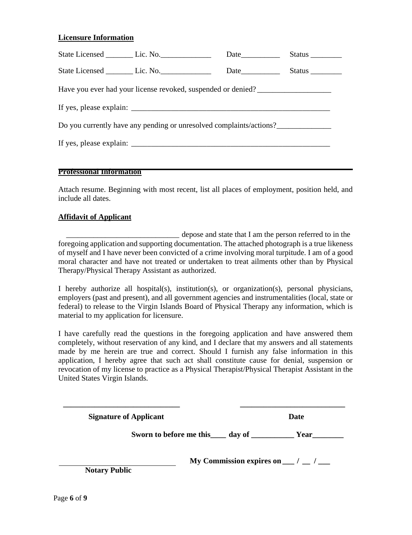### **Licensure Information**

|                                                                     |  |  | Status $\_\_$ |  |  |  |
|---------------------------------------------------------------------|--|--|---------------|--|--|--|
|                                                                     |  |  |               |  |  |  |
| Have you ever had your license revoked, suspended or denied?        |  |  |               |  |  |  |
|                                                                     |  |  |               |  |  |  |
| Do you currently have any pending or unresolved complaints/actions? |  |  |               |  |  |  |
|                                                                     |  |  |               |  |  |  |
|                                                                     |  |  |               |  |  |  |

#### **Professional Information**

Attach resume. Beginning with most recent, list all places of employment, position held, and include all dates.

#### **Affidavit of Applicant**

\_\_\_\_\_\_\_\_\_\_\_\_\_\_\_\_\_\_\_\_\_\_\_\_\_\_\_\_\_ depose and state that I am the person referred to in the foregoing application and supporting documentation. The attached photograph is a true likeness of myself and I have never been convicted of a crime involving moral turpitude. I am of a good moral character and have not treated or undertaken to treat ailments other than by Physical Therapy/Physical Therapy Assistant as authorized.

I hereby authorize all hospital(s), institution(s), or organization(s), personal physicians, employers (past and present), and all government agencies and instrumentalities (local, state or federal) to release to the Virgin Islands Board of Physical Therapy any information, which is material to my application for licensure.

I have carefully read the questions in the foregoing application and have answered them completely, without reservation of any kind, and I declare that my answers and all statements made by me herein are true and correct. Should I furnish any false information in this application, I hereby agree that such act shall constitute cause for denial, suspension or revocation of my license to practice as a Physical Therapist/Physical Therapist Assistant in the United States Virgin Islands.

 **\_\_\_\_\_\_\_\_\_\_\_\_\_\_\_\_\_\_\_\_\_\_\_\_\_\_\_\_\_\_ \_\_\_\_\_\_\_\_\_\_\_\_\_\_\_\_\_\_\_\_\_\_\_\_\_\_\_**

**Signature of Applicant Date** 

**Sworn to before me this\_\_\_\_ day of \_\_\_\_\_\_\_\_\_\_\_ Year\_\_\_\_\_\_\_\_**

**My Commission expires on \_\_\_ / \_\_ / \_\_\_**

**Notary Public**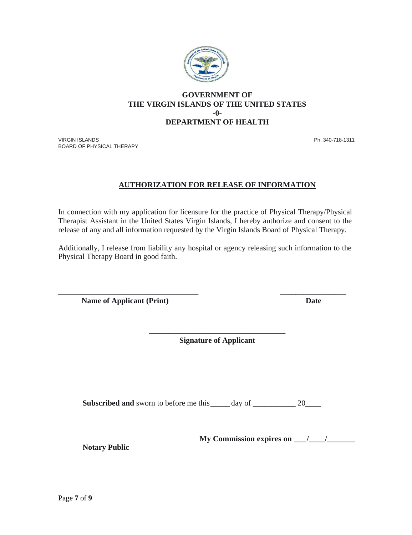

### **GOVERNMENT OF THE VIRGIN ISLANDS OF THE UNITED STATES -0- DEPARTMENT OF HEALTH**

VIRGIN ISLANDS Ph. 340-718-1311 BOARD OF PHYSICAL THERAPY

# **AUTHORIZATION FOR RELEASE OF INFORMATION**

In connection with my application for licensure for the practice of Physical Therapy/Physical Therapist Assistant in the United States Virgin Islands, I hereby authorize and consent to the release of any and all information requested by the Virgin Islands Board of Physical Therapy.

Additionally, I release from liability any hospital or agency releasing such information to the Physical Therapy Board in good faith.

**\_\_\_\_\_\_\_\_\_\_\_\_\_\_\_\_\_\_\_\_\_\_\_\_\_\_\_\_\_\_\_\_\_\_\_\_ \_\_\_\_\_\_\_\_\_\_\_\_\_\_\_\_\_ Name of Applicant (Print)** Date

> **\_\_\_\_\_\_\_\_\_\_\_\_\_\_\_\_\_\_\_\_\_\_\_\_\_\_\_\_\_\_\_\_\_\_\_ Signature of Applicant**

**Subscribed and** sworn to before me this \_\_\_\_\_ day of \_\_\_\_\_\_\_\_\_\_\_\_\_ 20\_\_\_\_\_\_\_\_\_\_\_

**Notary Public**

**My Commission expires on \_\_\_/\_\_\_\_/\_\_\_\_\_\_\_**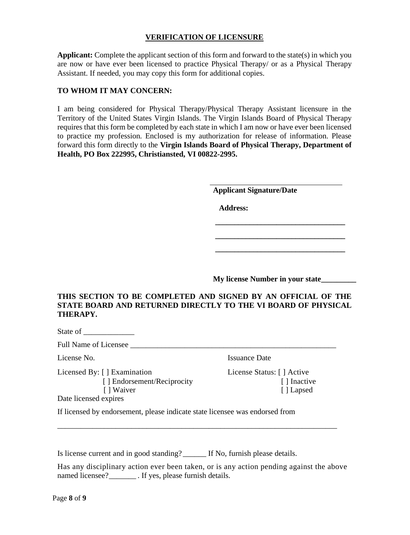### **VERIFICATION OF LICENSURE**

**Applicant:** Complete the applicant section of this form and forward to the state(s) in which you are now or have ever been licensed to practice Physical Therapy/ or as a Physical Therapy Assistant. If needed, you may copy this form for additional copies.

### **TO WHOM IT MAY CONCERN:**

I am being considered for Physical Therapy/Physical Therapy Assistant licensure in the Territory of the United States Virgin Islands. The Virgin Islands Board of Physical Therapy requires that this form be completed by each state in which I am now or have ever been licensed to practice my profession. Enclosed is my authorization for release of information. Please forward this form directly to the **Virgin Islands Board of Physical Therapy, Department of Health, PO Box 222995, Christiansted, VI 00822-2995.**

**Applicant Signature/Date**

 **Address:**

**My license Number in your state\_\_\_\_\_\_\_\_\_**

 **\_\_\_\_\_\_\_\_\_\_\_\_\_\_\_\_\_\_\_\_\_\_\_\_\_\_\_\_\_\_\_\_\_\_**

 **\_\_\_\_\_\_\_\_\_\_\_\_\_\_\_\_\_\_\_\_\_\_\_\_\_\_\_\_\_\_\_\_\_\_ \_\_\_\_\_\_\_\_\_\_\_\_\_\_\_\_\_\_\_\_\_\_\_\_\_\_\_\_\_\_\_\_\_\_**

### **THIS SECTION TO BE COMPLETED AND SIGNED BY AN OFFICIAL OF THE STATE BOARD AND RETURNED DIRECTLY TO THE VI BOARD OF PHYSICAL THERAPY.**

Full Name of Licensee

Licensed By: [ ] Examination License Status: [ ] Active [ ] Endorsement/Reciprocity [ ] Inactive [ ] Waiver [ ] Lapsed

License No. **Issuance Date** 

Date licensed expires

If licensed by endorsement, please indicate state licensee was endorsed from

Is license current and in good standing? \_\_\_\_\_\_ If No, furnish please details.

Has any disciplinary action ever been taken, or is any action pending against the above named licensee? \_\_\_\_\_\_\_\_ . If yes, please furnish details.

\_\_\_\_\_\_\_\_\_\_\_\_\_\_\_\_\_\_\_\_\_\_\_\_\_\_\_\_\_\_\_\_\_\_\_\_\_\_\_\_\_\_\_\_\_\_\_\_\_\_\_\_\_\_\_\_\_\_\_\_\_\_\_\_\_\_\_\_\_\_\_\_